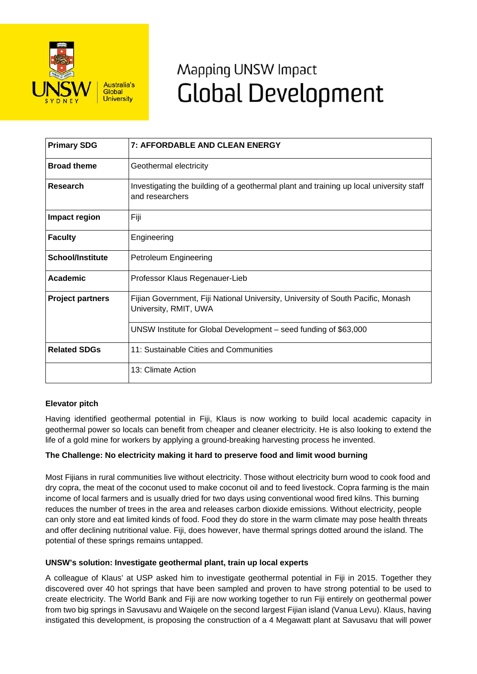

# Mapping UNSW Impact **Global Development**

| <b>Primary SDG</b>      | 7: AFFORDABLE AND CLEAN ENERGY                                                                             |
|-------------------------|------------------------------------------------------------------------------------------------------------|
| <b>Broad theme</b>      | Geothermal electricity                                                                                     |
| <b>Research</b>         | Investigating the building of a geothermal plant and training up local university staff<br>and researchers |
| Impact region           | Fiji                                                                                                       |
| <b>Faculty</b>          | Engineering                                                                                                |
| <b>School/Institute</b> | Petroleum Engineering                                                                                      |
| <b>Academic</b>         | Professor Klaus Regenauer-Lieb                                                                             |
| <b>Project partners</b> | Fijian Government, Fiji National University, University of South Pacific, Monash<br>University, RMIT, UWA  |
|                         | UNSW Institute for Global Development - seed funding of \$63,000                                           |
| <b>Related SDGs</b>     | 11: Sustainable Cities and Communities                                                                     |
|                         | 13: Climate Action                                                                                         |

# **Elevator pitch**

Having identified geothermal potential in Fiji, Klaus is now working to build local academic capacity in geothermal power so locals can benefit from cheaper and cleaner electricity. He is also looking to extend the life of a gold mine for workers by applying a ground-breaking harvesting process he invented.

# **The Challenge: No electricity making it hard to preserve food and limit wood burning**

Most Fijians in rural communities live without electricity. Those without electricity burn wood to cook food and dry copra, the meat of the coconut used to make coconut oil and to feed livestock. Copra farming is the main income of local farmers and is usually dried for two days using conventional wood fired kilns. This burning reduces the number of trees in the area and releases carbon dioxide emissions. Without electricity, people can only store and eat limited kinds of food. Food they do store in the warm climate may pose health threats and offer declining nutritional value. Fiji, does however, have thermal springs dotted around the island. The potential of these springs remains untapped.

# **UNSW's solution: Investigate geothermal plant, train up local experts**

A colleague of Klaus' at USP asked him to investigate geothermal potential in Fiji in 2015. Together they discovered over 40 hot springs that have been sampled and proven to have strong potential to be used to create electricity. The World Bank and Fiji are now working together to run Fiji entirely on geothermal power from two big springs in Savusavu and Waiqele on the second largest Fijian island (Vanua Levu). Klaus, having instigated this development, is proposing the construction of a 4 Megawatt plant at Savusavu that will power